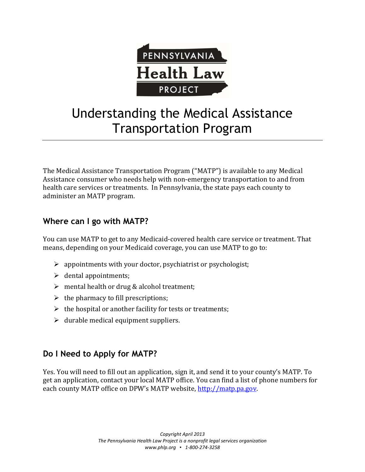

# Understanding the Medical Assistance Transportation Program

The Medical Assistance Transportation Program ("MATP") is available to any Medical Assistance consumer who needs help with non-emergency transportation to and from health care services or treatments. In Pennsylvania, the state pays each county to administer an MATP program.

# **Where can I go with MATP?**

You can use MATP to get to any Medicaid-covered health care service or treatment. That means, depending on your Medicaid coverage, you can use MATP to go to:

- $\triangleright$  appointments with your doctor, psychiatrist or psychologist;
- $\triangleright$  dental appointments;
- $\triangleright$  mental health or drug & alcohol treatment;
- $\triangleright$  the pharmacy to fill prescriptions;
- $\triangleright$  the hospital or another facility for tests or treatments;
- $\triangleright$  durable medical equipment suppliers.

# **Do I Need to Apply for MATP?**

Yes. You will need to fill out an application, sign it, and send it to your county's MATP. To get an application, contact your local MATP office. You can find a list of phone numbers for each county MATP office on DPW's MATP website, http://matp.pa.gov.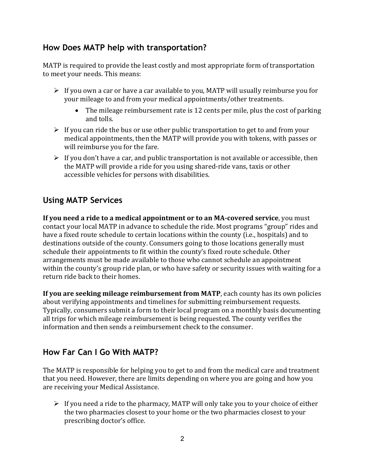#### **How Does MATP help with transportation?**

MATP is required to provide the least costly and most appropriate form of transportation to meet your needs. This means:

- $\triangleright$  If you own a car or have a car available to you, MATP will usually reimburse you for your mileage to and from your medical appointments/other treatments.
	- The mileage reimbursement rate is 12 cents per mile, plus the cost of parking and tolls.
- $\triangleright$  If you can ride the bus or use other public transportation to get to and from your medical appointments, then the MATP will provide you with tokens, with passes or will reimburse you for the fare.
- $\triangleright$  If you don't have a car, and public transportation is not available or accessible, then the MATP will provide a ride for you using shared-ride vans, taxis or other accessible vehicles for persons with disabilities.

# **Using MATP Services**

**If you need a ride to a medical appointment or to an MA-covered service**, you must contact your local MATP in advance to schedule the ride. Most programs "group" rides and have a fixed route schedule to certain locations within the county (i.e., hospitals) and to destinations outside of the county. Consumers going to those locations generally must schedule their appointments to fit within the county's fixed route schedule. Other arrangements must be made available to those who cannot schedule an appointment within the county's group ride plan, or who have safety or security issues with waiting for a return ride back to their homes.

**If you are seeking mileage reimbursement from MATP**, each county has its own policies about verifying appointments and timelines for submitting reimbursement requests. Typically, consumers submit a form to their local program on a monthly basis documenting all trips for which mileage reimbursement is being requested. The county verifies the information and then sends a reimbursement check to the consumer.

## **How Far Can I Go With MATP?**

The MATP is responsible for helping you to get to and from the medical care and treatment that you need. However, there are limits depending on where you are going and how you are receiving your Medical Assistance.

 $\triangleright$  If you need a ride to the pharmacy, MATP will only take you to your choice of either the two pharmacies closest to your home or the two pharmacies closest to your prescribing doctor's office.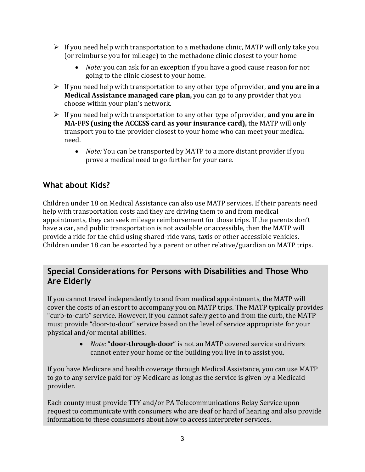- $\triangleright$  If you need help with transportation to a methadone clinic, MATP will only take you (or reimburse you for mileage) to the methadone clinic closest to your home
	- *Note:* you can ask for an exception if you have a good cause reason for not going to the clinic closest to your home.
- If you need help with transportation to any other type of provider, **and you are in a Medical Assistance managed care plan,** you can go to any provider that you choose within your plan's network.
- If you need help with transportation to any other type of provider, **and you are in MA-FFS (using the ACCESS card as your insurance card),** the MATP will only transport you to the provider closest to your home who can meet your medical need.
	- *Note:* You can be transported by MATP to a more distant provider if you prove a medical need to go further for your care.

## **What about Kids?**

Children under 18 on Medical Assistance can also use MATP services. If their parents need help with transportation costs and they are driving them to and from medical appointments, they can seek mileage reimbursement for those trips. If the parents don't have a car, and public transportation is not available or accessible, then the MATP will provide a ride for the child using shared-ride vans, taxis or other accessible vehicles. Children under 18 can be escorted by a parent or other relative/guardian on MATP trips.

#### **Special Considerations for Persons with Disabilities and Those Who Are Elderly**

If you cannot travel independently to and from medical appointments, the MATP will cover the costs of an escort to accompany you on MATP trips. The MATP typically provides "curb-to-curb" service. However, if you cannot safely get to and from the curb, the MATP must provide "door-to-door" service based on the level of service appropriate for your physical and/or mental abilities.

> • *Note:* "**door-through-door**" is not an MATP covered service so drivers cannot enter your home or the building you live in to assist you.

If you have Medicare and health coverage through Medical Assistance, you can use MATP to go to any service paid for by Medicare as long as the service is given by a Medicaid provider.

Each county must provide TTY and/or PA Telecommunications Relay Service upon request to communicate with consumers who are deaf or hard of hearing and also provide information to these consumers about how to access interpreter services.